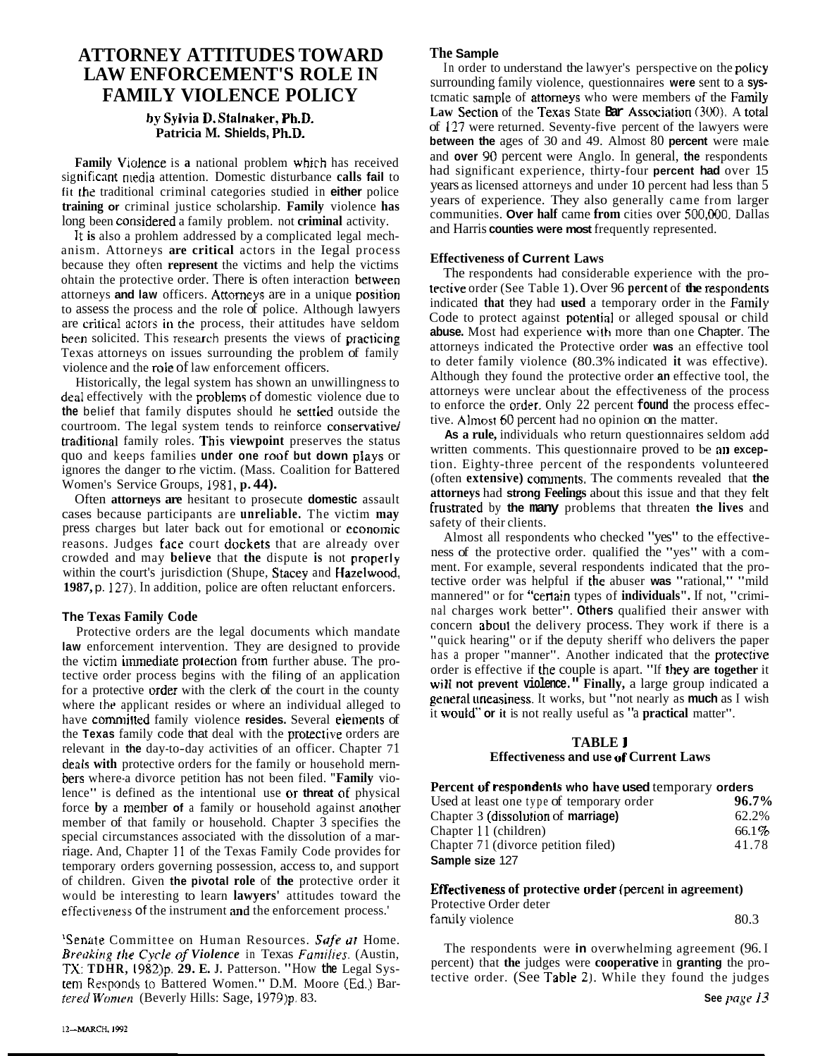# **ATTORNEY ATTITUDES TOWARD** The **Sample**<br> **TAME ENEOD CEMENT'S DOLE IN** In order to understand the lawyer's perspective on the policy LAW ENFORCEMENT'S ROLE IN

#### **hg Sylvia D. Stalnaker, Ph.D. Patricia M. Shields, Ph.D.**

**Family** Violence is a national problem which has received significant media attention. Domestic disturbance calls fail to **fit** the traditional criminal categories studied in **either** police **training or** criminal justice scholarship. **Family** violence **has**  long been considered a family problem. not **criminal** activity.

It is also a prohlem addressed by a complicated legal mechanism. Attorneys **are critical** actors in the Iegal process because they often **represent** the victims and help the victims ohtain the protective order. There is often interaction between attorneys **and law** officers. **Actomeys** are in a unique posirion to assess the process and the role of police. Although lawyers are critical actors in the process, their attitudes have seldom **been** solicited. This research presents the views of praclicing Texas attorneys on issues surrounding the problem of family violence and the role of law enforcement officers.

Historically, the legal system has shown an unwillingness to deal effectively with the problem5 of domestic violence due to **the** belief that family disputes should he settied outside the courtroom. The legal system tends to reinforce conservative/ traditional family roles. This viewpoint preserves the status quo and keeps families **under one roof but down plays** or ignores the danger to rhe victim. (Mass. Coalition for Battered Women's Service Groups, 1981, **p. 44).** 

Often **attorneys are** hesitant to prosecute **domestic** assault cases because participants are **unreliable.** The victim **may**  press charges but later back out for emotional or economic reasons. Judges face court dockets that are already over crowded and may **believe** that **the** dispute **is** not **properly**  within the court's jurisdiction (Shupe, Stacey and **Hazelwood, 1987,** p. 127). In addition, police are often reluctant enforcers.

### **The Texas Family Code**

Protective orders are the legal documents which mandate **law** enforcement intervention. They are designed to provide the victim immediate protection from further abuse. The protective order process begins with the filing of an application for a protective **order** with the clerk of the court in the county where **thr** applicant resides or where an individual alleged to have committed family violence resides. Several elements of the **Texas** family code that deal with the protective orders are relevant in **the** day-to-day activities of an officer. Chapter 71 **deals with** protective orders for the family or household mernbers where-a divorce petition has not been filed. **"Family** violence" is defined as the intentional use or **threat of** physical force **by** a member **of** a family or household against **anorher**  member of that family or household. Chapter  $\overline{3}$  specifies the special circumstances associated with the dissolution of a marriage. And, Chapter <sup>1</sup>**1** of the Texas Family Code provides for temporary orders governing possession, access to, and support of children. Given **the pivotal role** of **the** protective order it would be interesting to learn **lawyers'** attitudes toward the **Effectiveness of protective order** (percent in agreement) **Protective Order** effectiveness of the instrument and the enforcement process.'

<sup>1</sup>Senate Committee on Human Resources. Safe at Home. **Breaking the Cycle of Violence** in Texas *Families*. (Austin, The respondents were **in** overwhelming agreement (96. I percent) that the judges were **cooperative** in **granting** the pro-<br>TY: Thun 1082) **20 E.** L. Petterson, **TX: <b>TDHR**, 1982)p. 29. E. J. Patterson. "How the Legal Sys-<br>
tective order. (See Table 2). While they found the judges<br>
tective order. (See Table 2). While they found the judges ten Responds to Battered Women." D.M. Moore (Ed.) Bar-<br>tered Women (Beverly Hills: Sage, 1979)p. 83. *tered Women* (Beverly Hills: Sage, 1979)p. 83.

surrounding family violence, questionnaires **were** sent to a **sys-FAMILY VIOLENCE POLICY** termatic sample of attorneys who were members of the Family **Law Section of the Texas State <b>Bar** Association (300). A total of **177** were returned. Seventy-five percent of the lawyers were **between the** ages of 30 and 49. Almost 80 **percent** were rnale and **over 90** percent were Anglo. In general, **the** respondents had significant experience, thirty-four **percent had** over 15 years as licensed attorneys and under 10 percent had less than 5 years of experience. They also generally came from larger communities. **Over half** came **from** cities over **500,000.** Dallas and Harris **counties were most** frequently represented.

#### **Effectiveness of Current Laws**

The respondents had considerable experience with the protective order (See Table 1). Over 96 percent of the respondents indicated **that** they had **used** a temporary order in the Farriily Code to protect against potential or alleged spousal or child **abuse.** Most had experience **with** more than one Chapter. The attorneys indicated the Protective order **was** an effective tool to deter family violence (80.3% indicated **it** was effective). Although they found the protective order **an** effective tool, the attorneys were unclear about the effectiveness of the process to enforce the **order.** Only 22 percent **found** the process effective. **Almost 60** percent had no opinion on the matter.

**As a rule,** individuals who return questionnaires seldom **add**  written comments. This questionnaire proved to be an **excep**tion. Eighty-three percent of the respondents volunteered (often **extensive)** cormnents. The comments revealed that **the attorneys** had **strong Feelings** about this issue and that they felt frustrated by **the many** problems that threaten **the lives** and safety of their clients.

Almost all respondents who checked "yes" to the effectiveness of the protective order. qualified the "yes" with a comment. For example, several respondents indicated that the protective order was helpful if **the** abuser **was** "rational," "mild mannered" or for "cerlain types of **individuals".** If not, "criminal charges work better". **Others** qualified their answer with concern aboul the delivery process. They work if there is a "quick hearing" or if the deputy sheriff who delivers the paper has a proper "manner". Another indicated that the protective order is effective if the couple is apart. "If **lhey are together** it **will not prevent violence." Finally,** a large group indicated a general uneasiness. It works, but "not nearly as **much** as I wish it **woulG' or it** is not really useful as "a **practical** matter".

#### **TABLE J Effectiveness and use uf Current Laws**

| Percent of respondents who have used temporary orders |          |
|-------------------------------------------------------|----------|
| Used at least one type of temporary order             | $96.7\%$ |
| Chapter 3 (dissolution of marriage)                   | 62.2%    |
| Chapter 11 (children)                                 | $66.1\%$ |
| Chapter 71 (divorce petition filed)                   | 41.78    |
| Sample size 127                                       |          |

| Protective Order deter |      |
|------------------------|------|
| family violence        | 80.3 |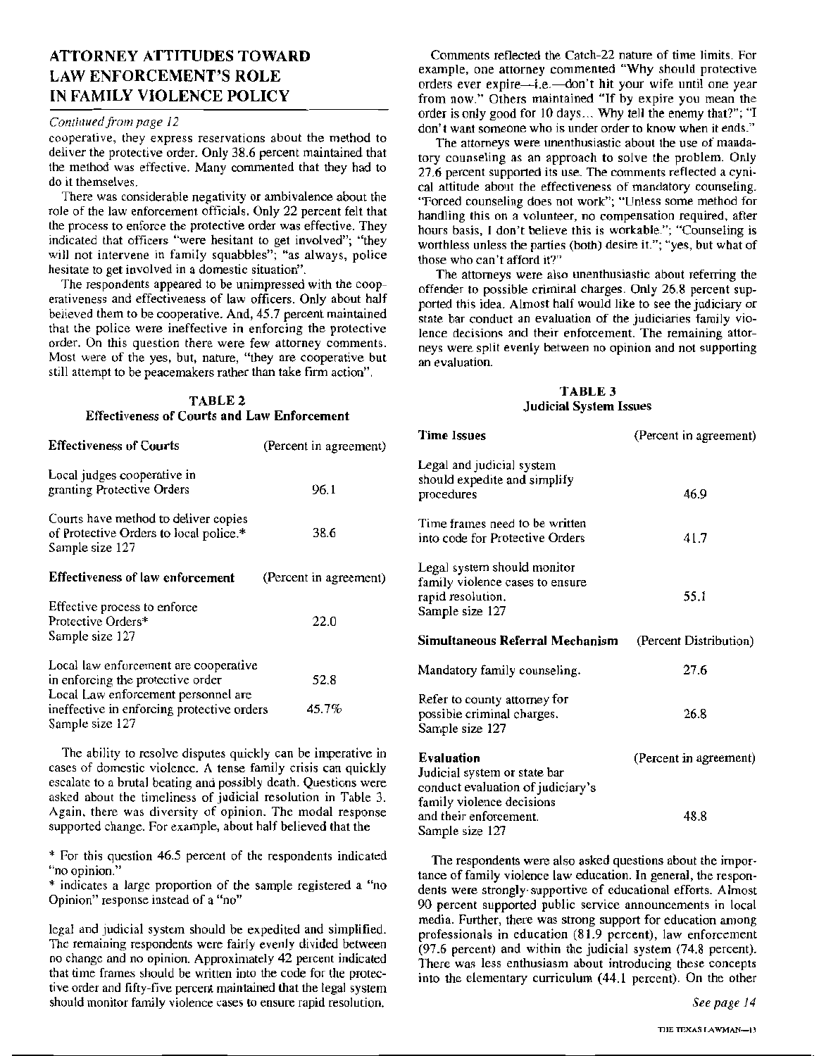## **ATTORNEY ATTITUDES TOWARD LAW ENFORCEMENT'S ROLE** IN FAMILY VIOLENCE POLICY

#### Continued from page 12

cooperative, they express reservations about the method to deliver the protective order. Only 38.6 percent maintained that the method was effective. Many commented that they had to do it themselves.

There was considerable negativity or ambivalence about the role of the law enforcement officials. Only 22 percent felt that the process to enforce the protective order was effective. They indicated that officers "were hesitant to get involved"; "they will not intervene in family squabbles"; "as always, police hesitate to get involved in a domestic situation".

The respondents appeared to be unimpressed with the cooperativeness and effectiveness of law officers. Only about half believed them to be cooperative. And, 45.7 percent maintained that the police were ineffective in enforcing the protective order. On this question there were few attorney comments. Most were of the yes, but, nature, "they are cooperative but still attempt to be peacemakers rather than take firm action".

#### TABLE<sub>2</sub> **Effectiveness of Courts and Law Enforcement**

| <b>Effectiveness of Courts</b>                                                                       | (Percent in agreement) |
|------------------------------------------------------------------------------------------------------|------------------------|
| Local judges cooperative in<br>granting Protective Orders                                            | 96.1                   |
| Courts have method to deliver copies<br>of Protective Orders to local police.*<br>Sample size 127    | 38.6                   |
| <b>Effectiveness of law enforcement</b>                                                              | (Percent in agreement) |
| Effective process to enforce<br>Protective Orders*<br>Sample size 127                                | 22.0                   |
| Local law enforcement are cooperative<br>in enforcing the protective order                           | 52.8                   |
| Local Law enforcement personnel are<br>ineffective in enforcing protective orders<br>Sample size 127 | 45.7%                  |

The ability to resolve disputes quickly can be imperative in cases of domestic violence. A tense family crisis can quickly escalate to a brutal beating and possibly death. Questions were asked about the timeliness of judicial resolution in Table 3. Again, there was diversity of opinion. The modal response supported change. For example, about half believed that the

\* For this question 46.5 percent of the respondents indicated "no opinion."

\* indicates a large proportion of the sample registered a "no Opinion" response instead of a "no"

legal and judicial system should be expedited and simplified. The remaining respondents were fairly evenly divided between no change and no opinion. Approximately 42 percent indicated that time frames should be written into the code for the protective order and fifty-five percent maintained that the legal system should monitor family violence cases to ensure rapid resolution.

Comments reflected the Catch-22 nature of time limits. For example, one attorney commented "Why should protective orders ever expire-i.e. - don't hit your wife until one year from now." Others maintained "If by expire you mean the order is only good for 10 days... Why tell the enemy that?"; "I don't want someone who is under order to know when it ends."

The attorneys were unenthusiastic about the use of mandatory counseling as an approach to solve the problem. Only 27.6 percent supported its use. The comments reflected a cynical attitude about the effectiveness of mandatory counseling. "Forced counseling does not work"; "Unless some method for handling this on a volunteer, no compensation required, after hours basis. I don't believe this is workable."; "Counseling is worthless unless the parties (both) desire it."; "yes, but what of those who can't afford it?"

The attorneys were also unenthusiastic about referring the offender to possible criminal charges. Only 26.8 percent supported this idea. Almost half would like to see the iudiciary or state bar conduct an evaluation of the judiciaries family violence decisions and their enforcement. The remaining attorneys were split evenly between no opinion and not supporting an evaluation.

#### TABLE 3 **Judicial System Issues**

| Time Issues                                                                                                  | (Percent in agreement) |
|--------------------------------------------------------------------------------------------------------------|------------------------|
| Legal and judicial system<br>should expedite and simplify<br>procedures                                      | 46.9                   |
| Time frames need to be written<br>into code for Protective Orders                                            | 41.7                   |
| Legal system should monitor<br>family violence cases to ensure<br>rapid resolution.<br>Sample size 127       | 55.1                   |
| Simultaneous Referral Mechanism                                                                              | (Percent Distribution) |
|                                                                                                              |                        |
| Mandatory family counseling.                                                                                 | 27.6                   |
| Refer to county attorney for<br>possible criminal charges.<br>Sample size 127                                | 26.8                   |
| Evaluation<br>Judicial system or state bar<br>conduct evaluation of judiciary's<br>family violence decisions | (Percent in agreement) |

The respondents were also asked questions about the importance of family violence law education. In general, the respondents were strongly supportive of educational efforts. Almost 90 percent supported public service announcements in local media. Further, there was strong support for education among professionals in education (81.9 percent), law enforcement (97.6 percent) and within the judicial system (74.8 percent). There was less enthusiasm about introducing these concepts into the elementary curriculum (44.1 percent). On the other

Sample size 127